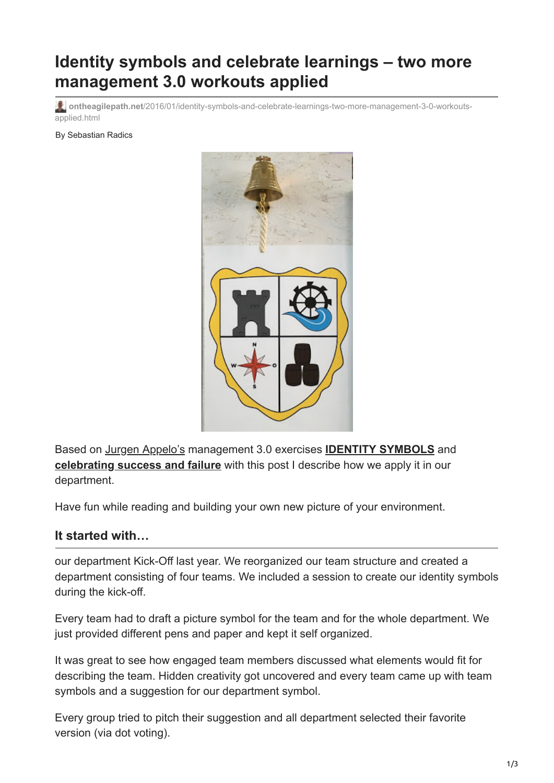# **Identity symbols and celebrate learnings – two more management 3.0 workouts applied**

**ontheagilepath.net**[/2016/01/identity-symbols-and-celebrate-learnings-two-more-management-3-0-workouts](https://www.ontheagilepath.net/2016/01/identity-symbols-and-celebrate-learnings-two-more-management-3-0-workouts-applied.html)applied.html

By Sebastian Radics



Based on [Jurgen Appelo's](http://jurgenappelo.com/) management 3.0 exercises **[IDENTITY SYMBOLS](https://management30.com/product/workouts/workout-why-identity-symbols-matter-to-your-success/)** and **[celebrating success and failure](http://www.happymelly.com/celebrating-success-and-failure/)** with this post I describe how we apply it in our department.

Have fun while reading and building your own new picture of your environment.

### **It started with…**

our department Kick-Off last year. We reorganized our team structure and created a department consisting of four teams. We included a session to create our identity symbols during the kick-off.

Every team had to draft a picture symbol for the team and for the whole department. We just provided different pens and paper and kept it self organized.

It was great to see how engaged team members discussed what elements would fit for describing the team. Hidden creativity got uncovered and every team came up with team symbols and a suggestion for our department symbol.

Every group tried to pitch their suggestion and all department selected their favorite version (via dot voting).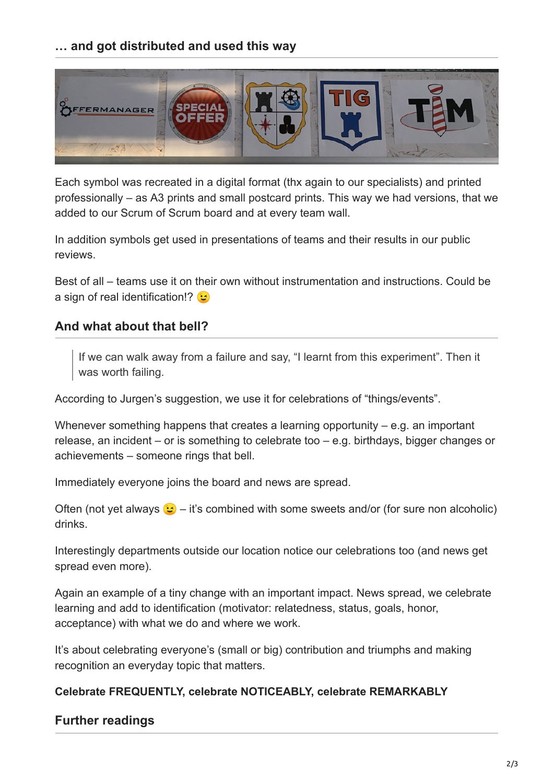# **… and got distributed and used this way**



Each symbol was recreated in a digital format (thx again to our specialists) and printed professionally – as A3 prints and small postcard prints. This way we had versions, that we added to our Scrum of Scrum board and at every team wall.

In addition symbols get used in presentations of teams and their results in our public reviews.

Best of all – teams use it on their own without instrumentation and instructions. Could be a sign of real identification!?

## **And what about that bell?**

If we can walk away from a failure and say, "I learnt from this experiment". Then it was worth failing.

According to Jurgen's suggestion, we use it for celebrations of "things/events".

Whenever something happens that creates a learning opportunity – e.g. an important release, an incident – or is something to celebrate too – e.g. birthdays, bigger changes or achievements – someone rings that bell.

Immediately everyone joins the board and news are spread.

Often (not yet always  $\mathcal{L}$  – it's combined with some sweets and/or (for sure non alcoholic) drinks.

Interestingly departments outside our location notice our celebrations too (and news get spread even more).

Again an example of a tiny change with an important impact. News spread, we celebrate learning and add to identification (motivator: relatedness, status, goals, honor, acceptance) with what we do and where we work.

It's about celebrating everyone's (small or big) contribution and triumphs and making recognition an everyday topic that matters.

#### **Celebrate FREQUENTLY, celebrate NOTICEABLY, celebrate REMARKABLY**

### **Further readings**